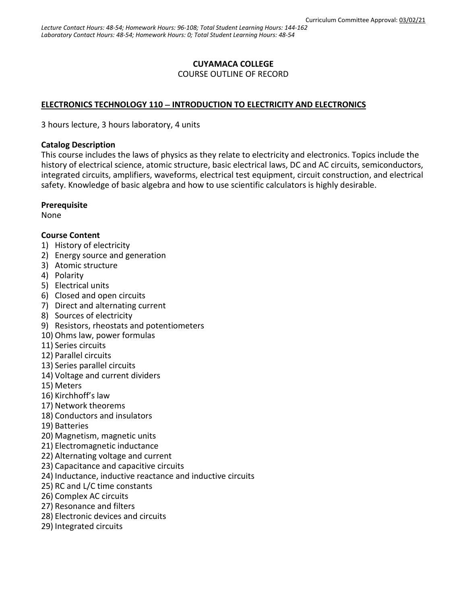### **CUYAMACA COLLEGE**

COURSE OUTLINE OF RECORD

#### **ELECTRONICS TECHNOLOGY 110** − **INTRODUCTION TO ELECTRICITY AND ELECTRONICS**

3 hours lecture, 3 hours laboratory, 4 units

#### **Catalog Description**

This course includes the laws of physics as they relate to electricity and electronics. Topics include the history of electrical science, atomic structure, basic electrical laws, DC and AC circuits, semiconductors, integrated circuits, amplifiers, waveforms, electrical test equipment, circuit construction, and electrical safety. Knowledge of basic algebra and how to use scientific calculators is highly desirable.

#### **Prerequisite**

None

#### **Course Content**

- 1) History of electricity
- 2) Energy source and generation
- 3) Atomic structure
- 4) Polarity
- 5) Electrical units
- 6) Closed and open circuits
- 7) Direct and alternating current
- 8) Sources of electricity
- 9) Resistors, rheostats and potentiometers
- 10) Ohms law, power formulas
- 11) Series circuits
- 12) Parallel circuits
- 13) Series parallel circuits
- 14) Voltage and current dividers
- 15) Meters
- 16) Kirchhoff's law
- 17) Network theorems
- 18) Conductors and insulators
- 19) Batteries
- 20) Magnetism, magnetic units
- 21) Electromagnetic inductance
- 22) Alternating voltage and current
- 23) Capacitance and capacitive circuits
- 24) Inductance, inductive reactance and inductive circuits
- 25) RC and L/C time constants
- 26) Complex AC circuits
- 27) Resonance and filters
- 28) Electronic devices and circuits
- 29) Integrated circuits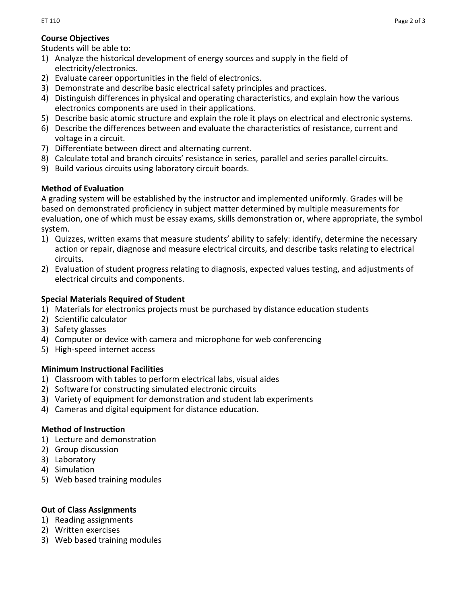# **Course Objectives**

Students will be able to:

- 1) Analyze the historical development of energy sources and supply in the field of electricity/electronics.
- 2) Evaluate career opportunities in the field of electronics.
- 3) Demonstrate and describe basic electrical safety principles and practices.
- 4) Distinguish differences in physical and operating characteristics, and explain how the various electronics components are used in their applications.
- 5) Describe basic atomic structure and explain the role it plays on electrical and electronic systems.
- 6) Describe the differences between and evaluate the characteristics of resistance, current and voltage in a circuit.
- 7) Differentiate between direct and alternating current.
- 8) Calculate total and branch circuits' resistance in series, parallel and series parallel circuits.
- 9) Build various circuits using laboratory circuit boards.

## **Method of Evaluation**

A grading system will be established by the instructor and implemented uniformly. Grades will be based on demonstrated proficiency in subject matter determined by multiple measurements for evaluation, one of which must be essay exams, skills demonstration or, where appropriate, the symbol system.

- 1) Quizzes, written exams that measure students' ability to safely: identify, determine the necessary action or repair, diagnose and measure electrical circuits, and describe tasks relating to electrical circuits.
- 2) Evaluation of student progress relating to diagnosis, expected values testing, and adjustments of electrical circuits and components.

## **Special Materials Required of Student**

- 1) Materials for electronics projects must be purchased by distance education students
- 2) Scientific calculator
- 3) Safety glasses
- 4) Computer or device with camera and microphone for web conferencing
- 5) High-speed internet access

## **Minimum Instructional Facilities**

- 1) Classroom with tables to perform electrical labs, visual aides
- 2) Software for constructing simulated electronic circuits
- 3) Variety of equipment for demonstration and student lab experiments
- 4) Cameras and digital equipment for distance education.

## **Method of Instruction**

- 1) Lecture and demonstration
- 2) Group discussion
- 3) Laboratory
- 4) Simulation
- 5) Web based training modules

## **Out of Class Assignments**

- 1) Reading assignments
- 2) Written exercises
- 3) Web based training modules